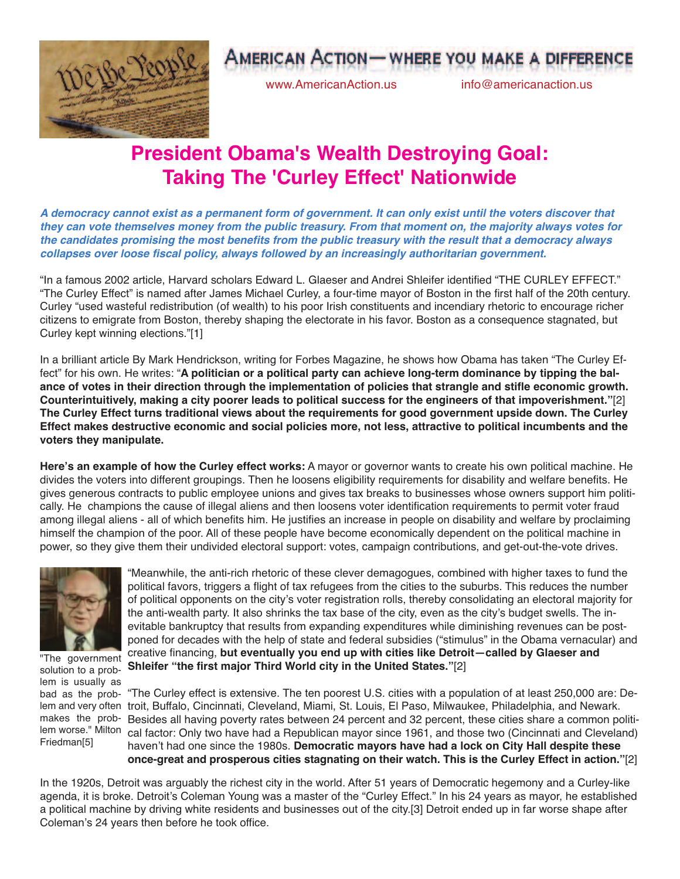

## **AMERICAN ACTION - WHERE YOU MAKE A DIFFEREN**

www.AmericanAction.us info@americanaction.us

## **President Obama's Wealth Destroying Goal: Taking The 'Curley Effect' Nationwide**

A democracy cannot exist as a permanent form of government. It can only exist until the voters discover that they can vote themselves money from the public treasury. From that moment on, the majority always votes for the candidates promising the most benefits from the public treasury with the result that a democracy always **collapses over loose fiscal policy, always followed by an increasingly authoritarian government.**

"In a famous 2002 article, Harvard scholars Edward L. Glaeser and Andrei Shleifer identified "THE CURLEY EFFECT." "The Curley Effect" is named after James Michael Curley, a four-time mayor of Boston in the first half of the 20th century. Curley "used wasteful redistribution (of wealth) to his poor Irish constituents and incendiary rhetoric to encourage richer citizens to emigrate from Boston, thereby shaping the electorate in his favor. Boston as a consequence stagnated, but Curley kept winning elections."[1]

In a brilliant article By Mark Hendrickson, writing for Forbes Magazine, he shows how Obama has taken "The Curley Effect" for his own. He writes: "**A politician or a political party can achieve long-term dominance by tipping the bal**ance of votes in their direction through the implementation of policies that strangle and stifle economic growth. **Counterintuitively, making a city poorer leads to political success for the engineers of that impoverishment."**[2] **The Curley Effect turns traditional views about the requirements for good government upside down. The Curley Effect makes destructive economic and social policies more, not less, attractive to political incumbents and the voters they manipulate.**

**Here's an example of how the Curley effect works:** A mayor or governor wants to create his own political machine. He divides the voters into different groupings. Then he loosens eligibility requirements for disability and welfare benefits. He gives generous contracts to public employee unions and gives tax breaks to businesses whose owners support him politically. He champions the cause of illegal aliens and then loosens voter identification requirements to permit voter fraud among illegal aliens - all of which benefits him. He justifies an increase in people on disability and welfare by proclaiming himself the champion of the poor. All of these people have become economically dependent on the political machine in power, so they give them their undivided electoral support: votes, campaign contributions, and get-out-the-vote drives.



"The government solution to a problem is usually as bad as the probmakes the prob-Friedman[5]

"Meanwhile, the anti-rich rhetoric of these clever demagogues, combined with higher taxes to fund the political favors, triggers a flight of tax refugees from the cities to the suburbs. This reduces the number of political opponents on the city's voter registration rolls, thereby consolidating an electoral majority for the anti-wealth party. It also shrinks the tax base of the city, even as the city's budget swells. The inevitable bankruptcy that results from expanding expenditures while diminishing revenues can be postponed for decades with the help of state and federal subsidies ("stimulus" in the Obama vernacular) and creative financing, **but eventually you end up with cities like Detroit—called by Glaeser and Shleifer "the first major Third World city in the United States."**[2]

"The Curley effect is extensive. The ten poorest U.S. cities with a population of at least 250,000 are: Delem and very often troit, Buffalo, Cincinnati, Cleveland, Miami, St. Louis, El Paso, Milwaukee, Philadelphia, and Newark. Besides all having poverty rates between 24 percent and 32 percent, these cities share a common politilem worse." Milton cal factor: Only two have had a Republican mayor since 1961, and those two (Cincinnati and Cleveland) haven't had one since the 1980s. **Democratic mayors have had a lock on City Hall despite these once-great and prosperous cities stagnating on their watch. This is the Curley Effect in action."**[2]

In the 1920s, Detroit was arguably the richest city in the world. After 51 years of Democratic hegemony and a Curley-like agenda, it is broke. Detroit's Coleman Young was a master of the "Curley Effect." In his 24 years as mayor, he established a political machine by driving white residents and businesses out of the city.[3] Detroit ended up in far worse shape after Coleman's 24 years then before he took office.